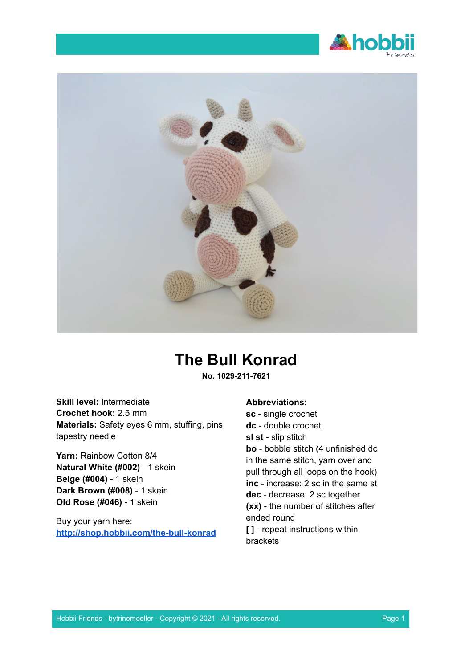



# **The Bull Konrad**

**No. 1029-211-7621**

**Skill level:** Intermediate **Crochet hook:** 2.5 mm **Materials:** Safety eyes 6 mm, stuffing, pins, tapestry needle

**Yarn:** Rainbow Cotton 8/4 **Natural White (#002)** - 1 skein **Beige (#004)** - 1 skein **Dark Brown (#008)** - 1 skein **Old Rose (#046)** - 1 skein

Buy your yarn here: **<http://shop.hobbii.com/the-bull-konrad>**

#### **Abbreviations:**

**sc** - single crochet **dc** - double crochet **sl st** - slip stitch **bo** - bobble stitch (4 unfinished dc in the same stitch, yarn over and pull through all loops on the hook) **inc** - increase: 2 sc in the same st **dec** - decrease: 2 sc together **(xx)** - the number of stitches after ended round **[ ]** - repeat instructions within brackets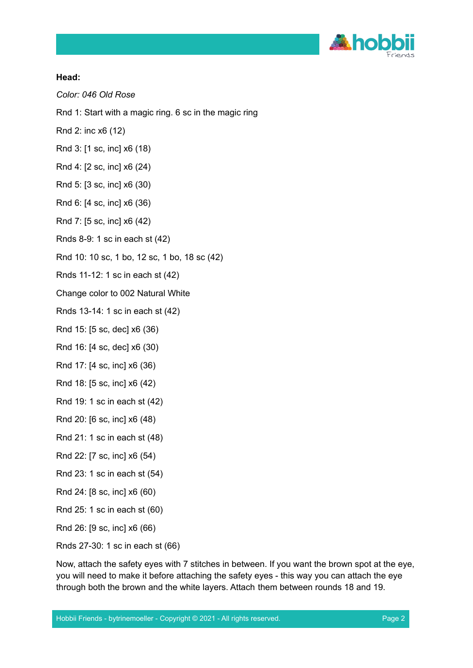

# **Head:**

*Color: 046 Old Rose*

- Rnd 1: Start with a magic ring. 6 sc in the magic ring
- Rnd 2: inc x6 (12)
- Rnd 3: [1 sc, inc] x6 (18)
- Rnd 4: [2 sc, inc] x6 (24)
- Rnd 5: [3 sc, inc] x6 (30)
- Rnd 6: [4 sc, inc] x6 (36)
- Rnd 7: [5 sc, inc] x6 (42)
- Rnds 8-9: 1 sc in each st (42)
- Rnd 10: 10 sc, 1 bo, 12 sc, 1 bo, 18 sc (42)
- Rnds 11-12: 1 sc in each st (42)
- Change color to 002 Natural White
- Rnds 13-14: 1 sc in each st (42)
- Rnd 15: [5 sc, dec] x6 (36)
- Rnd 16: [4 sc, dec] x6 (30)
- Rnd 17: [4 sc, inc] x6 (36)
- Rnd 18: [5 sc, inc] x6 (42)
- Rnd 19: 1 sc in each st (42)
- Rnd 20: [6 sc, inc] x6 (48)
- Rnd 21: 1 sc in each st (48)
- Rnd 22: [7 sc, inc] x6 (54)
- Rnd 23: 1 sc in each st (54)
- Rnd 24: [8 sc, inc] x6 (60)
- Rnd 25: 1 sc in each st (60)
- Rnd 26: [9 sc, inc] x6 (66)
- Rnds 27-30: 1 sc in each st (66)

Now, attach the safety eyes with 7 stitches in between. If you want the brown spot at the eye, you will need to make it before attaching the safety eyes - this way you can attach the eye through both the brown and the white layers. Attach them between rounds 18 and 19.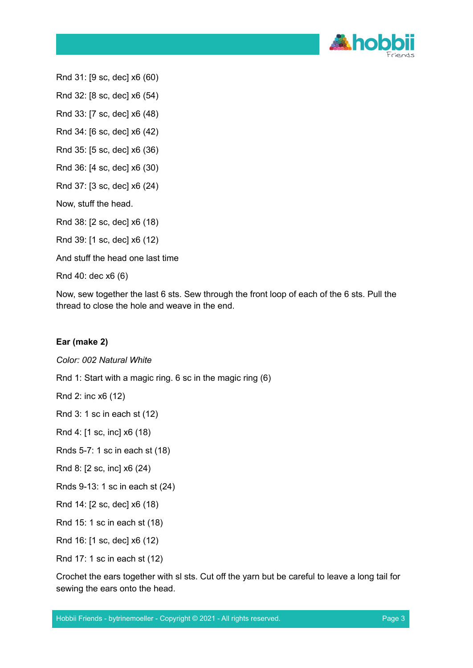

Rnd 31: [9 sc, dec] x6 (60)

Rnd 32: [8 sc, dec] x6 (54)

Rnd 33: [7 sc, dec] x6 (48)

Rnd 34: [6 sc, dec] x6 (42)

Rnd 35: [5 sc, dec] x6 (36)

Rnd 36: [4 sc, dec] x6 (30)

Rnd 37: [3 sc, dec] x6 (24)

Now, stuff the head.

Rnd 38: [2 sc, dec] x6 (18)

Rnd 39: [1 sc, dec] x6 (12)

And stuff the head one last time

Rnd 40: dec x6 (6)

Now, sew together the last 6 sts. Sew through the front loop of each of the 6 sts. Pull the thread to close the hole and weave in the end.

# **Ear (make 2)**

*Color: 002 Natural White*

Rnd 1: Start with a magic ring. 6 sc in the magic ring (6)

Rnd 2: inc x6 (12)

Rnd 3: 1 sc in each st (12)

Rnd 4: [1 sc, inc] x6 (18)

Rnds 5-7: 1 sc in each st (18)

Rnd 8: [2 sc, inc] x6 (24)

Rnds 9-13: 1 sc in each st (24)

Rnd 14: [2 sc, dec] x6 (18)

Rnd 15: 1 sc in each st (18)

Rnd 16: [1 sc, dec] x6 (12)

Rnd 17: 1 sc in each st (12)

Crochet the ears together with sl sts. Cut off the yarn but be careful to leave a long tail for sewing the ears onto the head.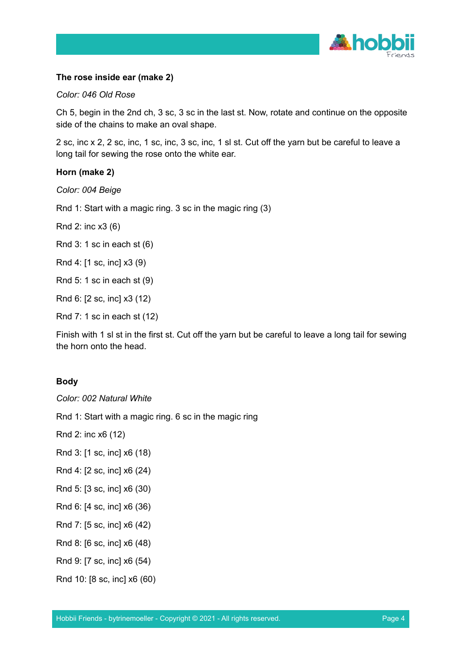

# **The rose inside ear (make 2)**

#### *Color: 046 Old Rose*

Ch 5, begin in the 2nd ch, 3 sc, 3 sc in the last st. Now, rotate and continue on the opposite side of the chains to make an oval shape.

2 sc, inc x 2, 2 sc, inc, 1 sc, inc, 3 sc, inc, 1 sl st. Cut off the yarn but be careful to leave a long tail for sewing the rose onto the white ear.

#### **Horn (make 2)**

*Color: 004 Beige*

Rnd 1: Start with a magic ring. 3 sc in the magic ring (3)

Rnd 2: inc x3 (6)

Rnd 3: 1 sc in each st (6)

Rnd 4: [1 sc, inc] x3 (9)

Rnd 5: 1 sc in each st (9)

Rnd 6: [2 sc, inc] x3 (12)

Rnd 7: 1 sc in each st (12)

Finish with 1 sl st in the first st. Cut off the yarn but be careful to leave a long tail for sewing the horn onto the head.

# **Body**

*Color: 002 Natural White*

Rnd 1: Start with a magic ring. 6 sc in the magic ring

Rnd 2: inc x6 (12)

- Rnd 3: [1 sc, inc] x6 (18)
- Rnd 4: [2 sc, inc] x6 (24)
- Rnd 5: [3 sc, inc] x6 (30)
- Rnd 6: [4 sc, inc] x6 (36)
- Rnd 7: [5 sc, inc] x6 (42)
- Rnd 8: [6 sc, inc] x6 (48)

Rnd 9: [7 sc, inc] x6 (54)

Rnd 10: [8 sc, inc] x6 (60)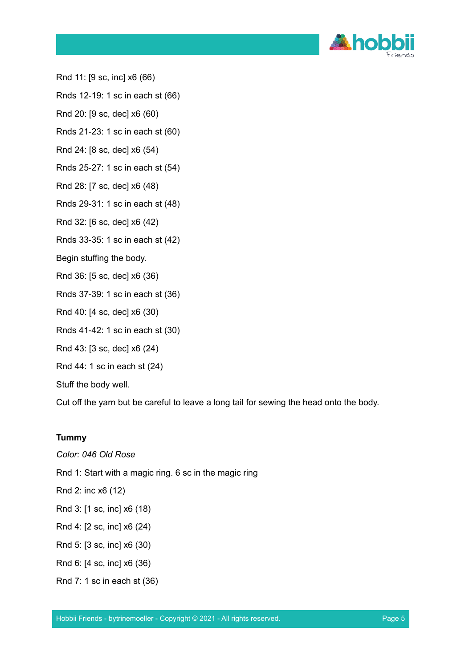

Rnd 11: [9 sc, inc] x6 (66)

Rnds 12-19: 1 sc in each st (66)

Rnd 20: [9 sc, dec] x6 (60)

Rnds 21-23: 1 sc in each st (60)

Rnd 24: [8 sc, dec] x6 (54)

Rnds 25-27: 1 sc in each st (54)

Rnd 28: [7 sc, dec] x6 (48)

Rnds 29-31: 1 sc in each st (48)

Rnd 32: [6 sc, dec] x6 (42)

Rnds 33-35: 1 sc in each st (42)

Begin stuffing the body.

Rnd 36: [5 sc, dec] x6 (36)

Rnds 37-39: 1 sc in each st (36)

Rnd 40: [4 sc, dec] x6 (30)

- Rnds 41-42: 1 sc in each st (30)
- Rnd 43: [3 sc, dec] x6 (24)

Rnd 44: 1 sc in each st (24)

Stuff the body well.

Cut off the yarn but be careful to leave a long tail for sewing the head onto the body.

#### **Tummy**

*Color: 046 Old Rose*

Rnd 1: Start with a magic ring. 6 sc in the magic ring

Rnd 2: inc x6 (12)

- Rnd 3: [1 sc, inc] x6 (18)
- Rnd 4: [2 sc, inc] x6 (24)
- Rnd 5: [3 sc, inc] x6 (30)

Rnd 6: [4 sc, inc] x6 (36)

Rnd 7: 1 sc in each st (36)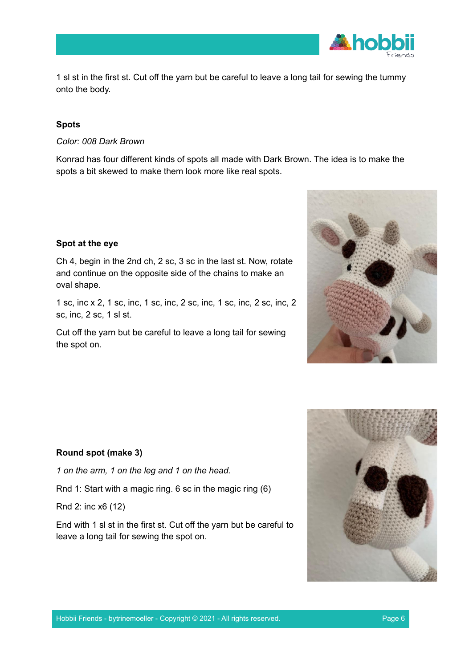

1 sl st in the first st. Cut off the yarn but be careful to leave a long tail for sewing the tummy onto the body.

# **Spots**

*Color: 008 Dark Brown*

Konrad has four different kinds of spots all made with Dark Brown. The idea is to make the spots a bit skewed to make them look more like real spots.

# **Spot at the eye**

Ch 4, begin in the 2nd ch, 2 sc, 3 sc in the last st. Now, rotate and continue on the opposite side of the chains to make an oval shape.

1 sc, inc x 2, 1 sc, inc, 1 sc, inc, 2 sc, inc, 1 sc, inc, 2 sc, inc, 2 sc, inc, 2 sc, 1 sl st.

Cut off the yarn but be careful to leave a long tail for sewing the spot on.



# **Round spot (make 3)**

*1 on the arm, 1 on the leg and 1 on the head.*

Rnd 1: Start with a magic ring. 6 sc in the magic ring (6)

Rnd 2: inc x6 (12)

End with 1 sl st in the first st. Cut off the yarn but be careful to leave a long tail for sewing the spot on.

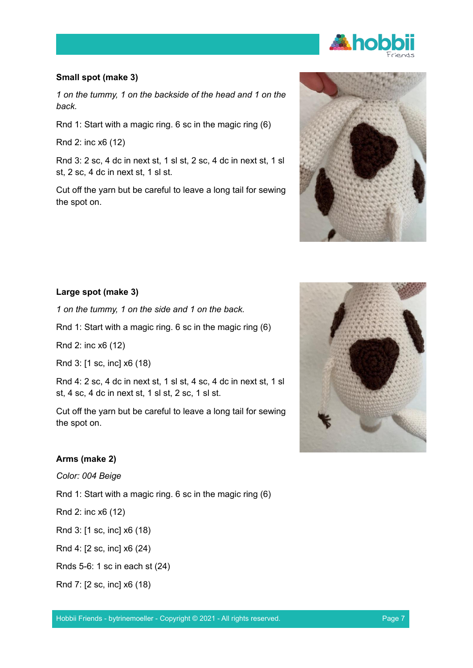

# **Small spot (make 3)**

*1 on the tummy, 1 on the backside of the head and 1 on the back.*

Rnd 1: Start with a magic ring. 6 sc in the magic ring (6)

Rnd 2: inc x6 (12)

Rnd 3: 2 sc, 4 dc in next st, 1 sl st, 2 sc, 4 dc in next st, 1 sl st, 2 sc, 4 dc in next st, 1 sl st.

Cut off the yarn but be careful to leave a long tail for sewing the spot on.



#### **Large spot (make 3)**

*1 on the tummy, 1 on the side and 1 on the back.*

Rnd 1: Start with a magic ring. 6 sc in the magic ring (6)

Rnd 2: inc x6 (12)

Rnd 3: [1 sc, inc] x6 (18)

Rnd 4: 2 sc, 4 dc in next st, 1 sl st, 4 sc, 4 dc in next st, 1 sl st, 4 sc, 4 dc in next st, 1 sl st, 2 sc, 1 sl st.

Cut off the yarn but be careful to leave a long tail for sewing the spot on.

# **Arms (make 2)**

*Color: 004 Beige*

Rnd 1: Start with a magic ring. 6 sc in the magic ring (6)

Rnd 2: inc x6 (12)

Rnd 3: [1 sc, inc] x6 (18)

Rnd 4: [2 sc, inc] x6 (24)

Rnds 5-6: 1 sc in each st (24)

Rnd 7: [2 sc, inc] x6 (18)

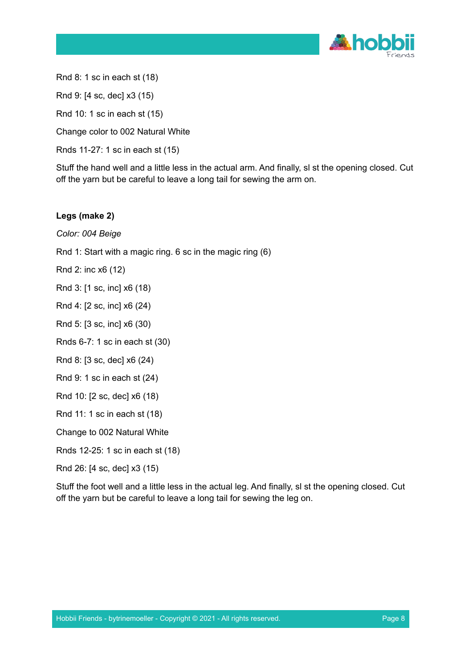

Rnd 8: 1 sc in each st (18)

Rnd 9: [4 sc, dec] x3 (15)

Rnd 10: 1 sc in each st (15)

Change color to 002 Natural White

Rnds 11-27: 1 sc in each st (15)

Stuff the hand well and a little less in the actual arm. And finally, sl st the opening closed. Cut off the yarn but be careful to leave a long tail for sewing the arm on.

# **Legs (make 2)**

*Color: 004 Beige*

Rnd 1: Start with a magic ring. 6 sc in the magic ring (6)

Rnd 2: inc x6 (12)

Rnd 3: [1 sc, inc] x6 (18)

Rnd 4: [2 sc, inc] x6 (24)

Rnd 5: [3 sc, inc] x6 (30)

Rnds 6-7: 1 sc in each st (30)

Rnd 8: [3 sc, dec] x6 (24)

Rnd 9: 1 sc in each st (24)

Rnd 10: [2 sc, dec] x6 (18)

Rnd 11: 1 sc in each st (18)

Change to 002 Natural White

Rnds 12-25: 1 sc in each st (18)

Rnd 26: [4 sc, dec] x3 (15)

Stuff the foot well and a little less in the actual leg. And finally, sl st the opening closed. Cut off the yarn but be careful to leave a long tail for sewing the leg on.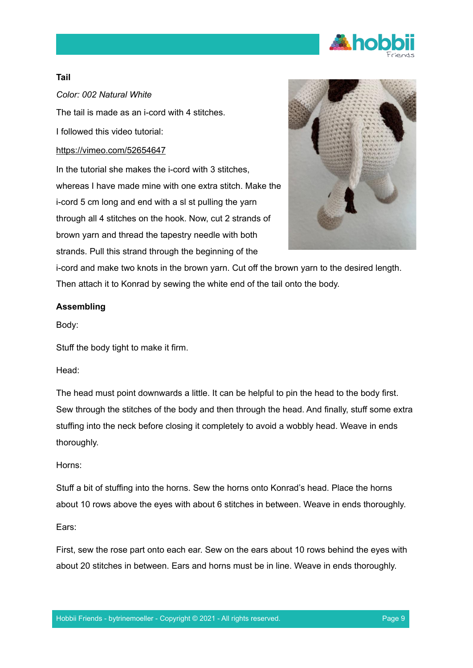

# **Tail**

*Color: 002 Natural White*

The tail is made as an i-cord with 4 stitches.

I followed this video tutorial:

# <https://vimeo.com/52654647>

In the tutorial she makes the i-cord with 3 stitches, whereas I have made mine with one extra stitch. Make the i-cord 5 cm long and end with a sl st pulling the yarn through all 4 stitches on the hook. Now, cut 2 strands of brown yarn and thread the tapestry needle with both strands. Pull this strand through the beginning of the



i-cord and make two knots in the brown yarn. Cut off the brown yarn to the desired length. Then attach it to Konrad by sewing the white end of the tail onto the body.

# **Assembling**

Body:

Stuff the body tight to make it firm.

Head:

The head must point downwards a little. It can be helpful to pin the head to the body first. Sew through the stitches of the body and then through the head. And finally, stuff some extra stuffing into the neck before closing it completely to avoid a wobbly head. Weave in ends thoroughly.

#### Horns:

Stuff a bit of stuffing into the horns. Sew the horns onto Konrad's head. Place the horns about 10 rows above the eyes with about 6 stitches in between. Weave in ends thoroughly.

#### Ears:

First, sew the rose part onto each ear. Sew on the ears about 10 rows behind the eyes with about 20 stitches in between. Ears and horns must be in line. Weave in ends thoroughly.